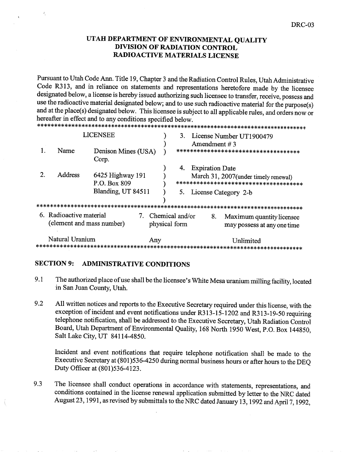# UTAH DEPARTMENT OF ENVIRONMENTAL QUALITY DIVISION OF RADIATION CONTROL RADIOACTIVE MATERIALS LICENSE

Pursuant to Utah Code Ann. Title 19, Chapter 3 and the Radiation Control Rules, Utah Administrative Code R313, and in reliance on statements and representations heretofore made by the licensee designated below, a license is hereby issued authorizing such licensee to transfer, receive, possess and use the radioactive material designated below; and to use such radioactive material for the purpose(s) and at the place(s) designated below. This licensee is subject to all applicable rules, and orders now or hereafter in effect and to any conditions specified below

| <b>LICENSEE</b> |                                                                                        |                                                                                           | 3.  | License Number UT1900479<br>Amendment $# 3$ |                        |                                                                                                          |
|-----------------|----------------------------------------------------------------------------------------|-------------------------------------------------------------------------------------------|-----|---------------------------------------------|------------------------|----------------------------------------------------------------------------------------------------------|
|                 | Name                                                                                   | Denison Mines (USA)<br>Corp.                                                              |     |                                             |                        | ************************************                                                                     |
|                 | <b>Address</b>                                                                         | 6425 Highway 191<br>P.O. Box 809<br>Blanding, UT 84511<br>******************************* |     | 4.                                          | <b>Expiration Date</b> | March 31, 2007(under timely renewal)<br>*************************************<br>5. License Category 2-b |
|                 | 6. Radioactive material<br>$7_{\scriptscriptstyle{\sim}}$<br>(element and mass number) |                                                                                           |     | Chemical and/or<br>8.<br>physical form      |                        | Maximum quantity licensee<br>may possess at any one time                                                 |
|                 | Natural Uranium                                                                        |                                                                                           | Any |                                             |                        | Unlimited                                                                                                |

# SECTION 9: ADMINISTRATIVE CONDITIONS

 $\ell_1$ 

- 9.1 The authorized place of use shall be the licensee's White Mesa uranium milling facility, located in San Juan County, Utah.
- 9.2 All written notices and reports to the Executive Secretary required under this license, with the exception of incident and event notifications under R313-15-1202 and R313-19-50 requiring telephone notification, shall be addressed to the Executive Secretary, Utah Radiation Control Board, Utah Department of Environmental Quality, 168 North 1950 West, P.O. Box 144850, Salt Lake City, UT 84114-4850.

Incident and event notifications that require telephone notification shall be made to the Executive Secretary at (801) 536-4250 during normal business hours or after hours to the DEQ Duty Officer at (801) 536-4123.

9.3 The licensee shall conduct operations in accordance with statements, representations, and conditions contained in the license renewal application submitted by letter to the NRC dated August 23, 1991, as revised by submittals to the NRC dated January 13, 1992 and April 7, 1992,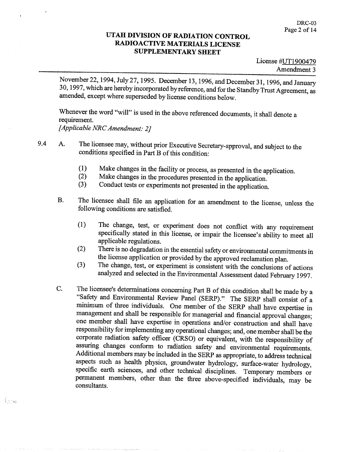November 22, 1994, July 27, 1995. December 13, 1996, and December 31, 1996, and January 30, 1997, which are hereby incorporated by reference, and for the Standby Trust Agreement, as amended, except where superseded by license conditions below.

Whenever the word "will" is used in the above referenced documents, it shall denote a requirement [Applicable NRC Amendment: 2]

9.4 A. The licensee may, without prior Executive Secretary-approval, and subject to the conditions specified in Part B of this condition:

- Make changes in the facility or process, as presented in the application.  $(1)$
- Make changes in the procedures presented in the application  $(2)$
- Conduct tests or experiments not presented in the application.  $(3)$
- The licensee shall file an application for an amendment to the license, unless the **B.** following conditions are satisfied
	- The change, test, or experiment does not conflict with any requirement  $(1)$ specifically stated in this license, or impair the licensee's ability to meet all applicable regulations
	- There is no degradation in the essential safety or environmental commitments in  $(2)$ the license application or provided by the approved reclamation plan
	- The change, test, or experiment is consistent with the conclusions of actions  $(3)$ analyzed and selected in the Environmental Assessment dated February 1997
- The licensee's determinations concerning Part B of this condition shall be made by a C. "Safety and Environmental Review Panel (SERP)." The SERP shall consist of a minimum of three individuals. One member of the SERP shall have expertise in management and shall be responsible for managerial and financial approval changes one member shall have expertise in operations and/or consfruction and shall have responsibility for implementing any operational changes; and, one member shall be the corporate radiation safety officer (CRSO) or equivalent, with the responsibility of assuring changes conform to radiation safety and environmental requirements Additional members may be included in the SERP as appropriate, to address technical aspects such as health physics, groundwater hydrology, surface-water hydrology, specific earth sciences, and other technical disciplines. Temporary members or permanent members, other than the three above-specified individuals, may be consultants

form.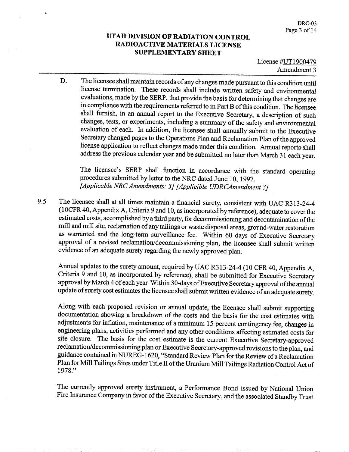License #UT1900479 Amendment 3

The licensee shall maintain records of any changes made pursuant to this condition until D. license termination. These records shall include written safety and environmental evaluations, made by the SERP, that provide the basis for determining that changes are in compliance with the requirements referred to in Part B of this condition. The licensee shall furnish, in an annual report to the Executive Secretary, a description of such changes, tests, or experiments, including a summary of the safety and environmental evaluation of each. In addition, the licensee shall annually submit to the Executive Secretary changed pages to the Operations Plan and Reclamation Plan of the approved license application to reflect changes made under this condition Annual reports shall address the previous calendar year and be submitted no later than March <sup>31</sup> each year

The licensee's SERP shall function in accordance with the standard operating procedures submitted by letter to the NRC dated June 10, 1997. [Applicable NRC Amendments: 3] [Applicible UDRCAmendment 3]

9.5 The licensee shall at all times maintain a financial surety, consistent with UAC R313-24-4 (10CFR 40, Appendix A, Criteria 9 and 10, as incorporated by reference), adequate to cover the estimated costs, accomplished by a third party, for decommissioning and decontamination of the mill and mill site, reclamation of any tailings or waste disposal areas, ground-water restoration as warranted and the long-term surveillance fee. Within 60 days of Executive Secretary approval of a revised reclamation/decommissioning plan, the licensee shall submit written evidence of an adequate surety regarding the newly approved plan

Annual updates to the surety amount, required by UAC R313-24-4 (10 CFR 40, Appendix A, Criteria 9 and 10, as incorporated by reference), shall be submitted for Executive Secretary approval by March 4 of each year Within 30-days of Executive Secretary approval of the annual update of surety cost estimates the licensee shall submit written evidence of an adequate surety

Along with each proposed revision or annual update, the licensee shall submit supporting documentation showing a breakdown of the costs and the basis for the cost estimates with adjustments for inflation, maintenance of a minimum 15 percent contingency fee, changes in engineering plans, activities performed and any other conditions affecting estimated costs for site closure. The basis for the cost estimate is the current Executive Secretary-approved reclamation/decommissioning plan or Executive Secretary-approved revisions to the plan, and guidance contained in NUREG-1620, "Standard Review Plan for the Review of a Reclamation Plan for Mill Tailings Sites under Title II of the Uranium Mill Tailings Radiation Control Act of 1978."

The currently approved surety instrument, a Performance Bond issued by National Union Fire Insurance Company in favor of the Executive Secretary and the associated Standby Trust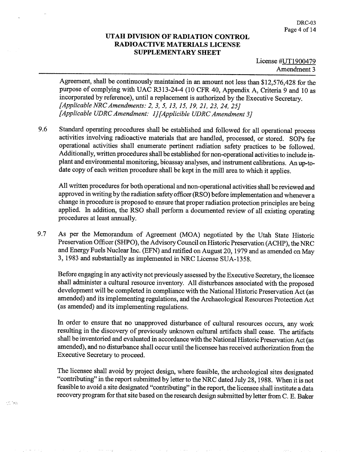Agreement, shall be continuously maintained in an amount not less than \$12,576,428 for the purpose of complying with UAC R313-24-4 (10 CFR 40, Appendix A, Criteria 9 and 10 as incorporated by reference), until a replacement is authorized by the Executive Secretary. [Applicable NRC Amendments: 2, 3, 5, 13, 15, 19, 21, 23, 24, 25] [Applicable UDRC Amendment: 1] [Applicible UDRC Amendment 3]

9.6 Standard operating procedures shall be established and followed for all operational process activities involving radioactive materials that are handled, processed, or stored. SOPs for operational activities shall enumerate pertinent radiation safety practices to be followed Additionally, written procedures shall be established for non-operational activities to include inplant and environmental monitoring, bioassay analyses, and instrument calibrations. An up-todate copy of each written procedure shall be kept in the mill area to which it applies

All written procedures for both operational and non-operational activities shall be reviewed and approved in writing by the radiation safety officer (RSO) before implementation and whenever a change in procedure is proposed to ensure that proper radiation protection principles are being applied. In addition, the RSO shall perform a documented review of all existing operating procedures at least annually

9.7 As per the Memorandum of Agreement (MOA) negotiated by the Utah State Historic Preservation Officer (SHPO), the Advisory Council on Historic Preservation (ACHP), the NRC and Energy Fuels Nuclear Inc. (EFN) and ratified on August 20, 1979 and as amended on May 1983 and substantially as implemented in NRC License SUA-1358

Before engaging in any activity not previously assessed by the Executive Secretary the licensee shall administer a cultural resource inventory. All disturbances associated with the proposed development will be completed in compliance with the National Historic Preservation Act (as amended) and its implementing regulations, and the Archaeological Resources Protection Act (as amended) and its implementing regulations.

In order to ensure that no unapproved disturbance of cultural resources occurs, any work resulting in the discovery of previously unknown cultural artifacts shall cease. The artifacts shall be inventoried and evaluated in accordance with the National Historic Preservation Act (as amended), and no disturbance shall occur until the licensee has received authorization from the Executive Secretary to proceed

The licensee shall avoid by project design, where feasible, the archeological sites designated "contributing" in the report submitted by letter to the NRC dated July 28, 1988. When it is not feasible to avoid a site designated "contributing" in the report, the licensee shall institute a data recovery program for that site based on the research design submitted by letter from C. E. Baker

 $\frac{1}{2}$  ,  $\frac{1}{2}$  ,  $\frac{1}{2}$  ,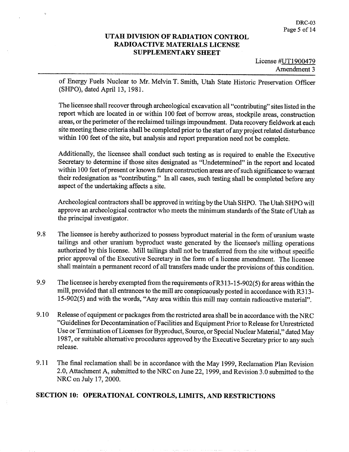License #UT1900479 Amendment 3

of Energy Fuels Nuclear to Mr. Melvin T. Smith, Utah State Historic Preservation Officer (SHPO), dated April 13, 1981.

The licensee shall recover through archeological excavation all "contributing" sites listed in the report which are located in or within 100 feet of borrow areas, stockpile areas, construction areas, or the perimeter of the reclaimed tailings impoundment. Data recovery fieldwork at each site meeting these criteria shall be completed prior to the start of any project related disturbance within 100 feet of the site, but analysis and report preparation need not be complete.

Additionally, the licensee shall conduct such testing as is required to enable the Executive Secretary to determine if those sites designated as "Undetermined" in the report and located within <sup>100</sup> feet of present or known future construction areas are of such significance to warrant their redesignation as "contributing." In all cases, such testing shall be completed before any aspect of the undertaking affects a site.

Archeological contractors shall be approved in writing by the Utah SHPO. The Utah SHPO will approve an archeological contractor who meets the minimumstandards of the State of Utah as the principal investigator

- 9.8 The licensee is hereby authorized to possess byproduct material in the form of uranium waste tailings and other uranium byproduct waste generated by the licensee's milling operations authorized by this license. Mill tailings shall not be transferred from the site without specific prior approval of the Executive Secretary in the form of a license amendment. The licensee shall maintain a permanent record of all transfers made under the provisions of this condition.
- 9.9 The licensee is hereby exempted from the requirements of R313-15-902(5) for areas within the mill, provided that all entrances to the mill are conspicuously posted in accordance with R313-15-902(5) and with the words, "Any area within this mill may contain radioactive material".
- 9.10 Release of equipment or packages from the restricted area shall be in accordance with the NRC Guidelines for Decontamination of Facilities and Equipment Prior to Release for Unrestricted Use or Termination of Licenses for Byproduct, Source, or Special Nuclear Material," dated May 1987, or suitable alternative procedures approved by the Executive Secretary prior to any such release
- 9.11 The final reclamation shall be in accordance with the May 1999, Reclamation Plan Revision 2.0, Attachment A, submitted to the NRC on June 22, 1999, and Revision 3.0 submitted to the NRC on July 17, 2000.

# SECTION 10: OPERATIONAL CONTROLS, LIMITS, AND RESTRICTIONS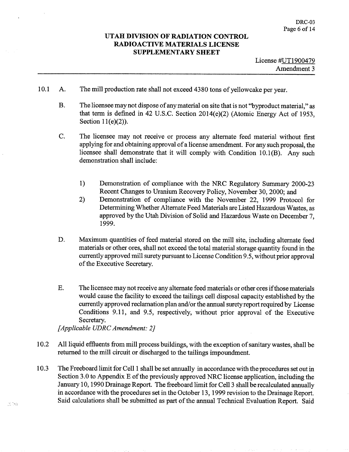- 10.1 A. The mill production rate shall not exceed 4380 tons of yellowcake per year.
	- **B.** The licensee may not dispose of any material on site that is not "byproduct material," as that term is defined in 42 U.S.C. Section  $2014(e)(2)$  (Atomic Energy Act of 1953, Section  $11(e)(2)$ ).
	- C. The licensee may not receive or process any alternate feed material without first applying for and obtaining approval of a license amendment. For any such proposal, the licensee shall demonstrate that it will comply with Condition  $10.1(B)$ . Any such demonstration shall include
		- $1)$ Demonstration of compliance with the NRC Regulatory Summary 2000-23 Recent Changes to Uranium Recovery Policy, November 30, 2000; and
		- Demonstration of compliance with the November 22, 1999 Protocol for  $2)$ Determining Whether Alternate Feed Materials are Listed Hazardous Wastes as approved by the Utah Division of Solid and Hazardous Waste on December 1999
	- D. Maximum quantities of feed material stored on the mill site, including alternate feed materials or other ores, shall not exceed the total material storage quantity found in the currently approved mill surety pursuant to License Condition 9.5 without prior approval of the Executive Secretary
	- $E.$ The licensee may not receive any alternate feed materials or other ores ifthose materials would cause the facility to exceed the tailings cell disposal capacity established by the currently approved reclamation plan and/or the annual surety report required by License Conditions 9.11, and 9.5, respectively, without prior approval of the Executive Secretary.

[Applicable UDRC Amendment: 2]

- 10.2 All liquid effluents from mill process buildings, with the exception of sanitary wastes, shall be returned to the mill circuit or discharged to the tailings impoundment
- 10.3 The Freeboard limit for Cell 1 shall be set annually in accordance with the procedures set out in Section 3.0 to Appendix E of the previously approved NRC license application, including the January 10, 1990 Drainage Report. The freeboard limit for Cell 3 shall be recalculated annually in accordance with the procedures set in the October 13, 1999 revision to the Drainage Report. Said calculations shall be submitted as part of the annual Technical Evaluation Report. Said

 $\mathcal{A} \rightarrow \mathcal{A}$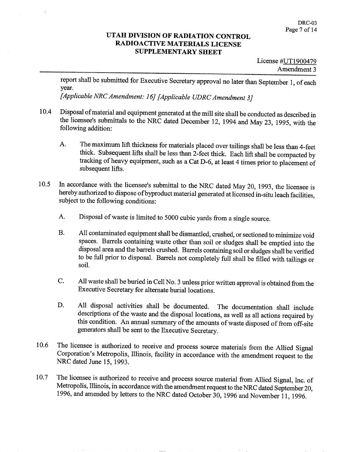report shall be submitted for Executive Secretary approval no later than September 1, of each year

[Applicable NRC Amendment: 16] [Applicable UDRC Amendment 3]

- 10.4 Disposal of material and equipment generated at the mill site shall be conducted as described in the licensee's submittals to the NRC dated December 12, 1994 and May 23, 1995, with the following addition
	- The maximum lift thickness for materials placed over tailings shall be less than 4-feet A. thick. Subsequent lifts shall be less than 2-feet thick. Each lift shall be compacted by tracking of heavy equipment, such as a Cat D-6, at least 4 times prior to placement of subsequent lifts
- 10.5 In accordance with the licensee's submittal to the NRC dated May 20, 1993, the licensee is hereby authorized to dispose of byproduct material generated at licensed in-situ leach facilities subject to the following conditions:
	- Disposal of waste is limited to 5000 cubic yards from a single source. A.
	- **B.** All contaminated equipment shall be dismantled, crushed, or sectioned to minimize void spaces. Barrels containing waste other than soil or sludges shall be emptied into the disposal area and the barrels crushed. Barrels containing soil or sludges shall be verified to be full prior to disposal. Barrels not completely full shall be filled with tailings or soil
	- C. All waste shall be buried in Cell No. 3 unless prior written approval is obtained from the Executive Secretary for alternate burial locations
	- D. All disposal activities shall be documented. The documentation shall include descriptions of the waste and the disposal locations as well as all actions required by this condition. An annual summary of the amounts of waste disposed of from off-site generators shall be sent to the Executive Secretary
- 10.6 The licensee is authorized to receive and process source materials from the Allied Signal Corporation's Metropolis, Illinois, facility in accordance with the amendment request to the NRC dated June 15, 1993.
- 10.7 The licensee is authorized to receive and process source material from Allied Signal, Inc. of Metropolis, Illinois, in accordance with the amendment request to the NRC dated September 20, 1996, and amended by letters to the NRC dated October 30, 1996 and November 11, 1996.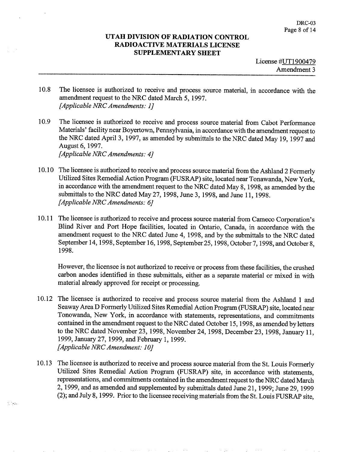- 10.8 The licensee is authorized to receive and process source material, in accordance with the amendment request to the NRC dated March 5, 1997. [Applicable NRC Amendments: 1]
- 10.9 The licensee is authorized to receive and process source material from Cabot Performance Materials' facility near Boyertown, Pennsylvania, in accordance with the amendment request to the NRC dated April 3, 1997, as amended by submittals to the NRC dated May 19, 1997 and August 6, 1997.

[Applicable NRC Amendments: 4]

film.

- 10.10 The licensee is authorized to receive and process source material from the Ashland 2 Formerly Utilized Sites Remedial Action Program (FUSRAP) site, located near Tonawanda, New York. in accordance with the amendment request to the NRC dated May 8, 1998, as amended by the submittals to the NRC dated May 27, 1998, June 3, 1998, and June 11, 1998.  $[Applicable NRC$  Amendments: 6]
- 10.11 The licensee is authorized to receive and process source material from Cameco Corporation's Blind River and Port Hope facilities, located in Ontario, Canada, in accordance with the amendment request to the NRC dated June 4, 1998, and by the submittals to the NRC dated September 14, 1998, September 16, 1998, September 25, 1998, October 7, 1998, and October 8, 1998

However, the licensee is not authorized to receive or process from these facilities, the crushed carbon anodes identified in these submittals, either as a separate material or mixed in with material already approved for receipt or processing

- 10.12 The licensee is authorized to receive and process source material from the Ashland 1 and Seaway Area D Formerly Utilized Sites Remedial Action Program (FUSRAP) site, located near Tonowanda, New York, in accordance with statements, representations, and commitments contained in the amendment request to the NRC dated October 15, 1998, as amended by letters to the NRC dated November 23, 1998, November 24, 1998, December 23, 1998, January 11, 1999, January 27, 1999, and February 1, 1999. [Applicable NRC Amendment: 10]
- 10.13 The licensee is authorized to receive and process source material from the St. Louis Formerly Utilized Sites Remedial Action Program (FUSRAP) site, in accordance with statements, representations, and commitments contained in the amendment request to the NRC dated March 2, 1999, and as amended and supplemented by submittals dated June 21, 1999; June 29, 1999  $(2)$ ; and July 8, 1999. Prior to the licensee receiving materials from the St. Louis FUSRAP site.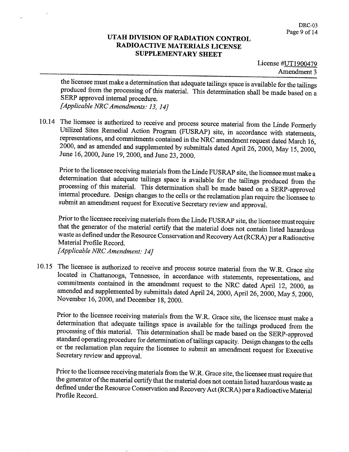License #UT1900479 Amendment 3

the licensee must make a determination that adequate tailings space is available for the tailings produced from the processing of this material. This determination shall be made based on a SERP approved internal procedure [Applicable NRC Amendments: 13, 14]

10.14 The licensee is authorized to receive and process source material from the Linde Formerly Utilized Sites Remedial Action Program (FUSRAP) site, in accordance with statements, representations, and commitments contained in the NRC amendment request dated March 16,  $2000$ , and as amended and supplemented by submittals dated April 26, 2000, May 15, 2000, June 16, 2000, June 19, 2000, and June 23, 2000.

Prior to the licensee receiving materials from the Linde FUSRAP site, the licensee must make a determination that adequate tailings space is available for the tailings produced from the processing of this material. This determination shall be made based on a SERP-approved internal procedure. Design changes to the cells or the reclamation plan require the licensee to submit an amendment request for Executive Secretary review and approval.

Prior to the licensee receiving materials from the Linde FUSRAP site, the licensee must require that the generator of the material certify that the material does not contain listed hazardous waste as defined under the Resource Conservation and Recovery Act (RCRA) per a Radioactive Material Profile Record

[Applicable NRC Amendment: 14]

10.15 The licensee is authorized to receive and process source material from the W.R Grace site located in Chattanooga, Tennessee, in accordance with statements, representations, and commitments contained in the amendment request to the NRC dated April 12, 2000, as amended and supplemented by submittals dated April 24, 2000, April 26, 2000, May 5, 2000, November 16, 2000, and December 18, 2000.

Prior to the licensee receiving materials from the W.R. Grace site, the licensee must make a determination that adequate tailings space is available for the tailings produced from the processing of this material. This determination shall be made based on the SERP-approved standard operating procedure for determination of tailings capacity. Design changes to the cells or the reclamation plan require the licensee to submit an amendment request for Executive Secretary review and approval

Prior to the licensee receiving materials from the W.R. Grace site, the licensee must require that the generator of the material certify that the material does not contain listed hazardous waste as defined under the Resource Conservation and Recovery Act (RCRA) per a Radioactive Material Profile Record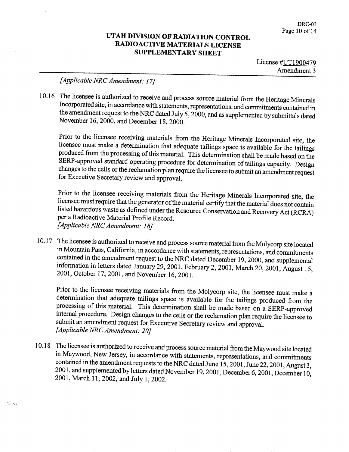License  $\sharp$ UT1900479 Amendment<sub>3</sub>

# [Applicable NRC Amendment: 17]

 $\lesssim$  185

10.16 The licensee is authorized to receive and process source material from the Heritage Minerals Incorporated site, in accordance with statements, representations, and commitments contained in the amendment request to the NRC dated July 5, 2000, and as supplemented by submittals dated November 16, 2000, and December 18, 2000.

Prior to the licensee receiving materials from the Heritage Minerals Incorporated site, the licensee must make a determination that adequate tailings space is available for the tailings produced from the processing of this material. This determination shall be made based on the SERP-approved standard operating procedure for determination of tailings capacity. Design changes to the cells or the reclamation plan require the licensee to submit an amendment request for Executive Secretary review and approval

Prior to the licensee receiving materials from the Heritage Minerals Incorporated site, the licensee must require that the generator of the material certify that the material does not contain listed hazardous waste as defined under the Resource Conservation and Recovery Act (RCRA) per a Radioactive Material Profile Record. [Applicable NRC Amendment: 18]

10.17 The licensee is authorized to receive and process source material from the Molycorp site located in Mountain Pass, California, in accordance with statements, representations, and commitments contained in the amendment request to the NRC dated December 19, 2000, and supplemental information in letters dated January 29, 2001, February 2, 2001, March 20, 2001, August 15, 2001, October 17, 2001, and November 16, 2001.

Prior to the licensee receiving materials from the Molycorp site, the licensee must make a determination that adequate tailings space is available for the tailings produced from the processing of this material. This determination shall be made based on a SERP-approved internal procedure. Design changes to the cells or the reclamation plan require the licensee to submit an amendment request for Executive Secretary review and approval. [Applicable NRC Amendment: 20]

10.18 The licensee is authorized to receive and process source material from the Maywood site located in Maywood, New Jersey, in accordance with statements, representations, and commitments contained in the amendment requests to the NRC dated June 15, 2001, June 22, 2001, August 3, 2001, and supplemented by letters dated November 19, 2001, December 6, 2001, December 10, 2001, March 11, 2002, and July 1, 2002.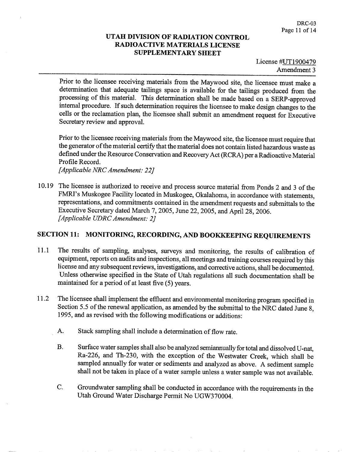Prior to the licensee receiving materials from the Maywood site, the licensee must make a determination that adequate tailings space is available for the tailings produced from the processing of this material. This determination shall be made based on a SERP-approved internal procedure. If such determination requires the licensee to make design changes to the cells or the reclamation plan, the licensee shall submit an amendment request for Executive Secretary review and approval

Prior to the licensee receiving materials from the Maywood site, the licensee must require that the generator of the material certify that the material does not contain listed hazardous waste as defined under the Resource Conservation and Recovery Act (RCRA) per a Radioactive Material Profile Record

[Applicable NRC Amendment: 22]

10.19 The licensee is authorized to receive and process source material from Ponds 2 and 3 of the FMRI's Muskogee Facility located in Muskogee, Okalahoma, in accordance with statements, representations, and commitments contained in the amendment requests and submittals to the Executive Secretary dated March 7, 2005, June 22, 2005, and April 28, 2006. [Applicable UDRC Amendment: 2]

# SECTION 11: MONITORING, RECORDING, AND BOOKKEEPING REQUIREMENTS

- 11.1 The results of sampling, analyses, surveys and monitoring, the results of calibration of equipment, reports on audits and inspections, all meetings and training courses required by this license and any subsequent reviews, investigations, and corrective actions, shall be documented. Unless otherwise specified in the State of Utah regulations all such documentation shall be maintained for a period of at least five  $(5)$  years.
- 11.2 The licensee shall implement the effluent and environmental monitoring program specified in Section 5.5 of the renewal application, as amended by the submittal to the NRC dated June 8, 1995, and as revised with the following modifications or additions:
	- A. Stack sampling shall include a determination of flow rate.
	- $B<sub>1</sub>$ Surface water samples shall also be analyzed semiannually for total and dissolved U-nat Ra-226, and Th-230, with the exception of the Westwater Creek, which shall be sampled annually for water or sediments and analyzed as above. A sediment sample shall not be taken in place of a water sample unless a water sample was not available.
	- C. Groundwater sampling shall be conducted in accordance with the requirements in the Utah Ground Water Discharge Permit No UGW370004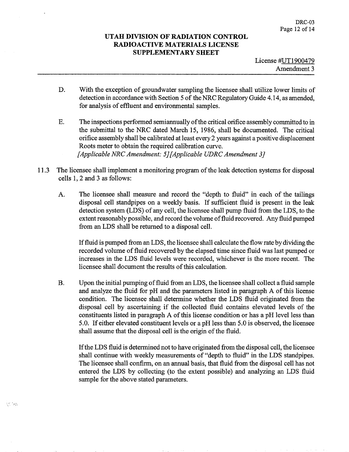- D. With the exception of groundwater sampling the licensee shall utilize lower limits of detection in accordance with Section 5 of the NRC Regulatory Guide 4.14, as amended, for analysis of effluent and environmental samples
- Ε. The inspections performed semiannually of the critical orifice assembly committed to in the submittal to the NRC dated March 15, 1986, shall be documented. The critical orifice assembly shall be calibrated at least every 2 years against a positive displacement Roots meter to obtain the required calibration curve [Applicable NRC Amendment:  $5$ ] [Applicable UDRC Amendment 3]
- 11.3 The licensee shall implement a monitoring program of the leak detection systems for disposal cells  $1, 2$  and  $3$  as follows:
	- A. The licensee shall measure and record the "depth to fluid" in each of the tailings disposal cell standpipes on a weekly basis. If sufficient fluid is present in the leak detection system (LDS) of any cell, the licensee shall pump fluid from the LDS, to the extent reasonably possible, and record the volume of fluid recovered. Any fluid pumped from an LDS shall be returned to a disposal cell.

If fluid is pumped from an LDS, the licensee shall calculate the flow rate by dividing the recorded volume of fluid recovered by the elapsed time since fluid was last pumped or increases in the LDS fluid levels were recorded, whichever is the more recent. The licensee shall document the results of this calculation

**B.** Upon the initial pumping of fluid from an LDS, the licensee shall collect a fluid sample and analyze the fluid for  $pH$  and the parameters listed in paragraph A of this license condition. The licensee shall determine whether the LDS fluid originated from the disposal cell by ascertaining if the collected fluid contains elevated levels of the constituents listed in paragraph A of this license condition or has a pH level less than 5.0. If either elevated constituent levels or a pH less than 5.0 is observed, the licensee shall assume that the disposal cell is the origin of the fluid

If the LDS fluid is determined not to have originated from the disposal cell, the licensee shall continue with weekly measurements of "depth to fluid" in the LDS standpipes. The licensee shall confirm, on an annual basis, that fluid from the disposal cell has not entered the LDS by collecting (to the extent possible) and analyzing an LDS fluid sample for the above stated parameters.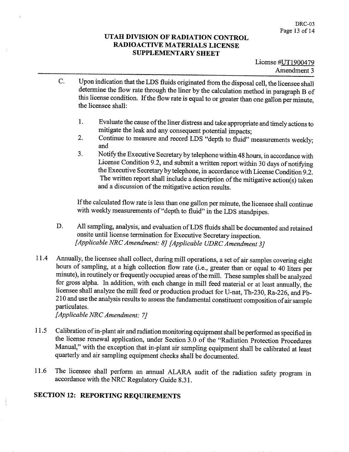- Upon indication that the LDS fluids originated from the disposal cell, the licensee shall C. determine the flow rate through the liner by the calculation method in paragraph B of this license condition. If the flow rate is equal to or greater than one gallon per minute, the licensee shall
	- Evaluate the cause of the liner distress and take appropriate and timely actions to 1. mitigate the leak and any consequent potential impacts
	- Continue to measure and record LDS "depth to fluid" measurements weekly;  $2.$ and
	- Notify the Executive Secretary by telephone within 48 hours, in accordance with 3. License Condition 9.2, and submit a written report within 30 days of notifying the Executive Secretary by telephone, in accordance with License Condition 9.2. The written report shall include a description of the mitigative action(s) taken and a discussion of the mitigative action results.

If the calculated flow rate is less than one gallon per minute, the licensee shall continue with weekly measurements of "depth to fluid" in the LDS standpipes.

- D. All sampling, analysis, and evaluation of LDS fluids shall be documented and retained onsite until license termination for Executive Secretary inspection [Applicable NRC Amendment: 8] [Applicable UDRC Amendment 3]
- 11.4 Annually, the licensee shall collect, during mill operations, a set of air samples covering eight hours of sampling, at a high collection flow rate (i.e., greater than or equal to 40 liters per minute), in routinely or frequently occupied areas of the mill. These samples shall be analyzed for gross alpha. In addition, with each change in mill feed material or at least annually, the licensee shall analyze the mill feed or production product for U-nat, Th-230, Ra-226, and Pb-210 and use the analysis results to assess the fundamental constituent composition of air sample particulates

[Applicable NRC Amendment: 7]

- 11.5 Calibration of in-plant air and radiation monitoring equipment shall be performed as specified in the license renewal application, under Section 3.0 of the "Radiation Protection Procedures Manual," with the exception that in-plant air sampling equipment shall be calibrated at least quarterly and air sampling equipment checks shall be documented
- 11.6 The licensee shall perform an annual ALARA audit of the radiation safety program in accordance with the NRC Regulatory Guide 8.31

# **SECTION 12: REPORTING REQUIREMENTS**